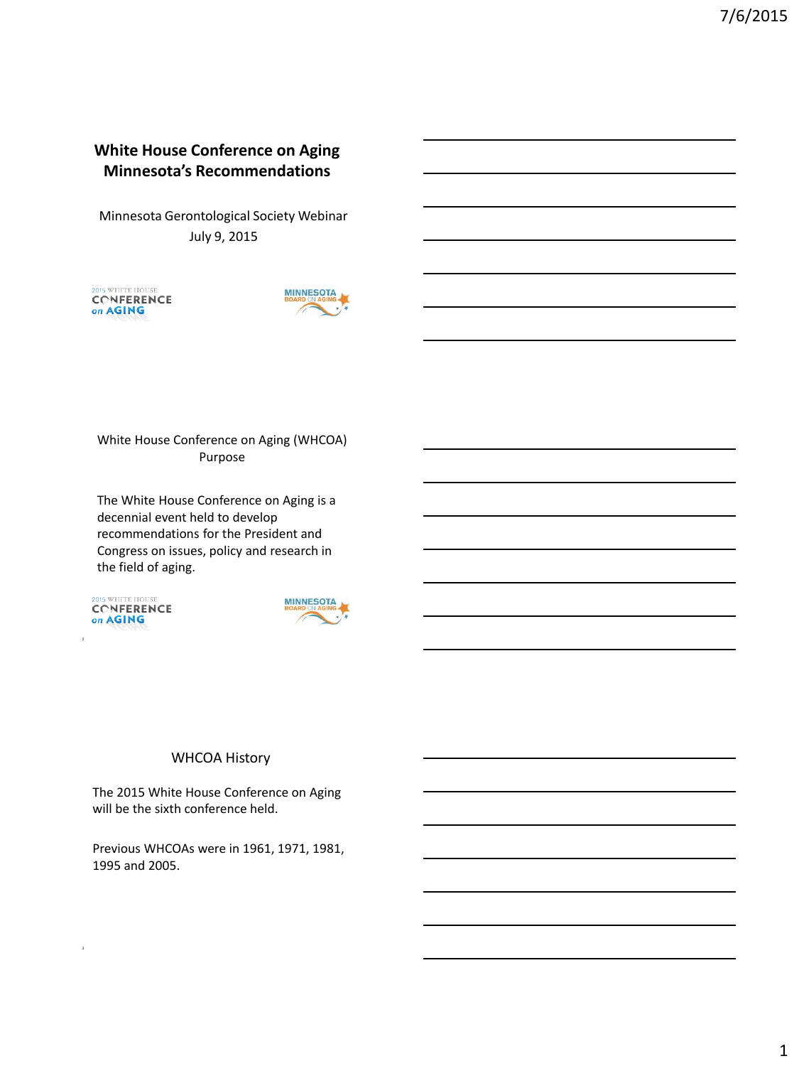# **White House Conference on Aging Minnesota's Recommendations**

Minnesota Gerontological Society Webinar July 9, 2015





White House Conference on Aging (WHCOA) Purpose

The White House Conference on Aging is a decennial event held to develop recommendations for the President and Congress on issues, policy and research in the field of aging.

15 WHITE HOUSE CONFERENCE on AGING

2

3



# WHCOA History

The 2015 White House Conference on Aging will be the sixth conference held.

Previous WHCOAs were in 1961, 1971, 1981, 1995 and 2005.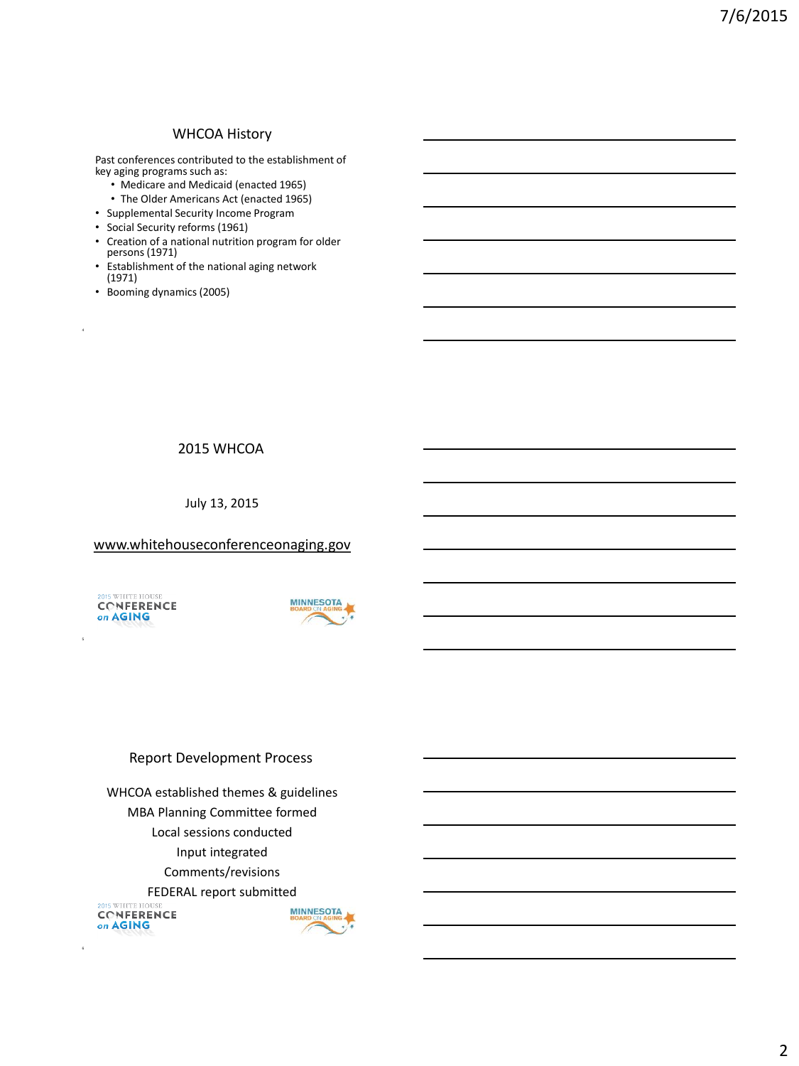### WHCOA History

Past conferences contributed to the establishment of key aging programs such as:

- Medicare and Medicaid (enacted 1965)
- The Older Americans Act (enacted 1965)
- Supplemental Security Income Program
- Social Security reforms (1961)
- Creation of a national nutrition program for older persons (1971)
- Establishment of the national aging network (1971)
- Booming dynamics (2005)

4

# 2015 WHCOA

July 13, 2015

### www.whitehouseconferenceonaging.gov

2015 WHITE HOUSE **CONFERENCE** on **AGING** 

5

6



### Report Development Process

WHCOA established themes & guidelines MBA Planning Committee formed Local sessions conducted Input integrated Comments/revisions FEDERAL report submitted 2015 WHITE HO **MINNESOTA CONFERENCE** on AGING

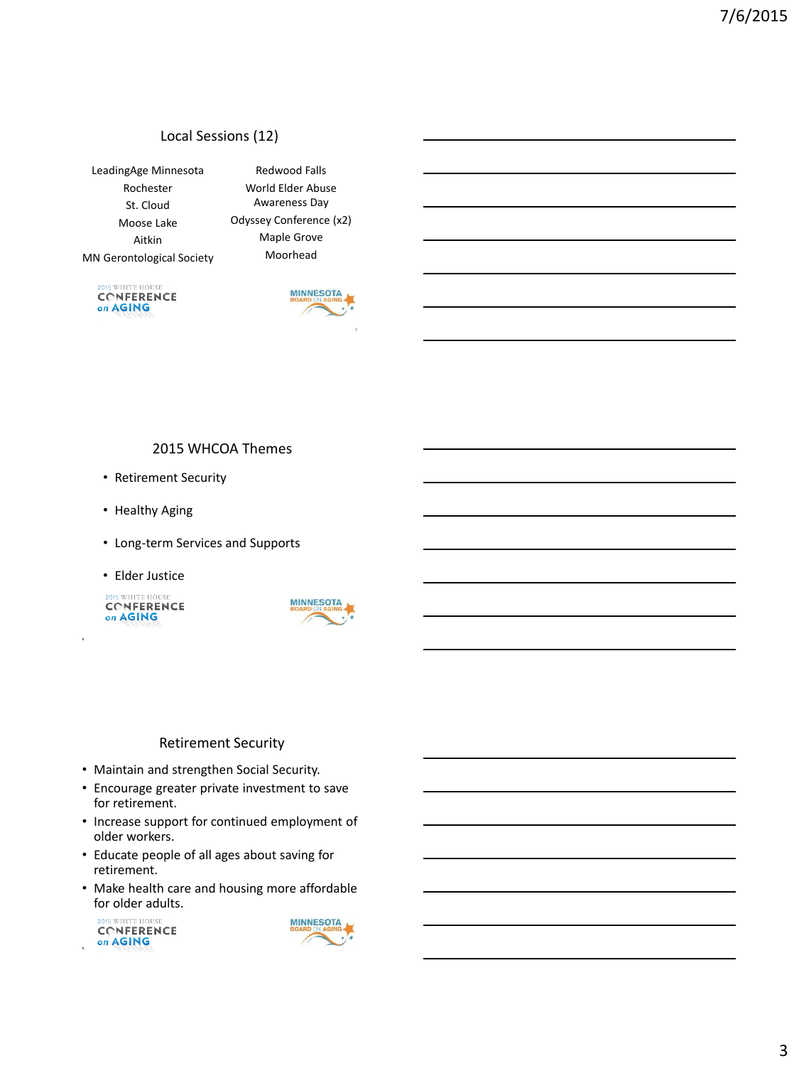# Local Sessions (12)

LeadingAge Minnesota Rochester St. Cloud Moose Lake Aitkin MN Gerontological Society

Redwood Falls World Elder Abuse Awareness Day Odyssey Conference (x2) Maple Grove Moorhead

**DIS WHITE HOUSE** CONFERENCE on AGING



### 2015 WHCOA Themes

- Retirement Security
- Healthy Aging
- Long-term Services and Supports
- Elder Justice

2015 WHITE HOUSE CONFERENCE on AGING

8



#### Retirement Security

- Maintain and strengthen Social Security.
- Encourage greater private investment to save for retirement.
- Increase support for continued employment of older workers.
- Educate people of all ages about saving for retirement.
- Make health care and housing more affordable for older adults.



9

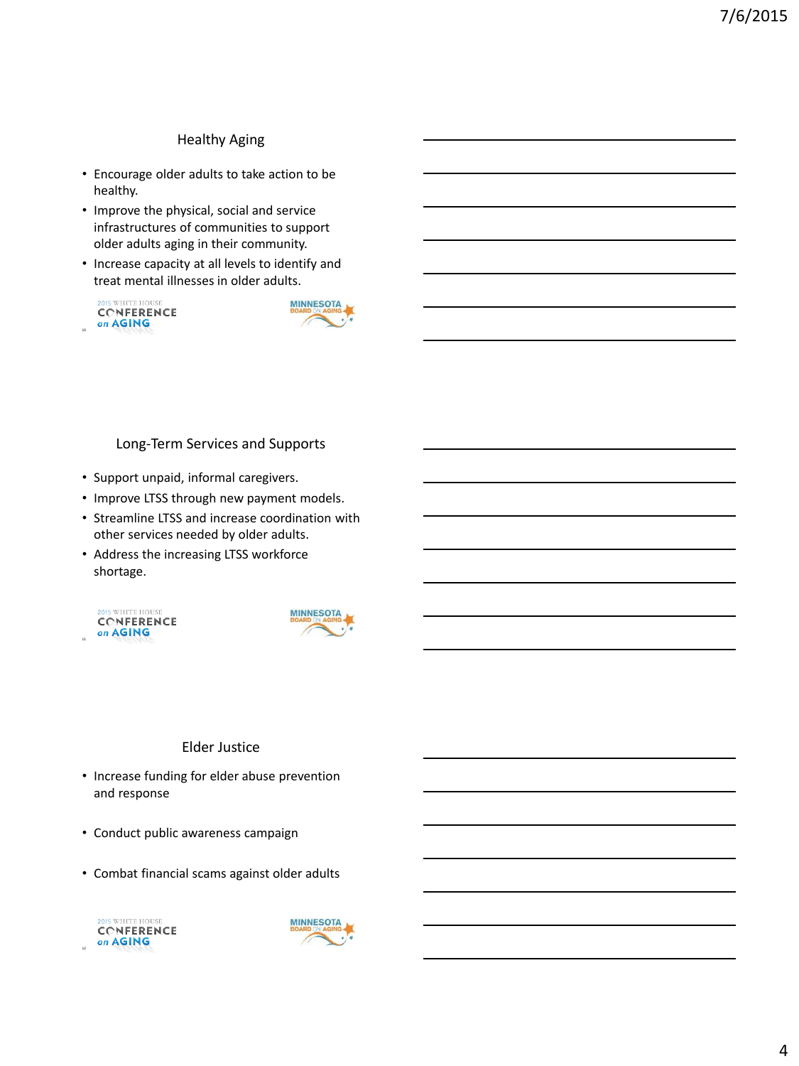# Healthy Aging

- Encourage older adults to take action to be healthy.
- Improve the physical, social and service infrastructures of communities to support older adults aging in their community.
- Increase capacity at all levels to identify and treat mental illnesses in older adults.





Long-Term Services and Supports

- Support unpaid, informal caregivers.
- Improve LTSS through new payment models.
- Streamline LTSS and increase coordination with other services needed by older adults.
- Address the increasing LTSS workforce shortage.





### Elder Justice

- Increase funding for elder abuse prevention and response
- Conduct public awareness campaign
- Combat financial scams against older adults